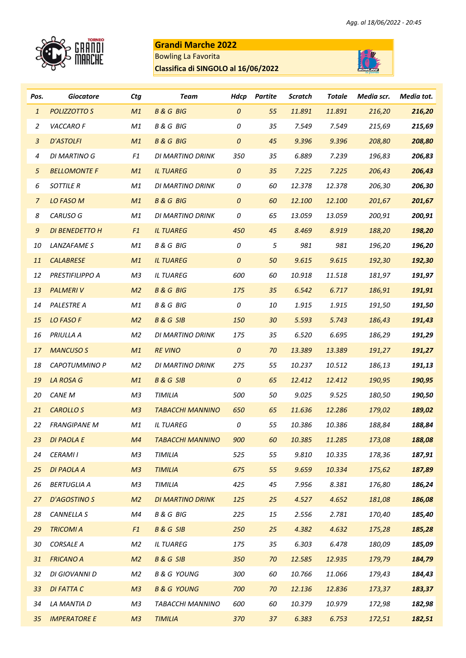

## **Grandi Marche 2022**

Bowling La Favorita

**Classifica di SINGOLO al 16/06/2022**



| Pos.             | <b>Giocatore</b>      | <b>Ctg</b>     | <b>Team</b>             | <b>Hdcp</b>        | Partite    | <b>Scratch</b> | <b>Totale</b> | Media scr. | Media tot. |
|------------------|-----------------------|----------------|-------------------------|--------------------|------------|----------------|---------------|------------|------------|
| $\mathbf{1}$     | POLIZZOTTO S          | M1             | <b>B&amp;G BIG</b>      | $\boldsymbol{0}$   | 55         | 11.891         | 11.891        | 216,20     | 216,20     |
| $\overline{c}$   | VACCARO F             | $\mathit{M1}$  | <b>B&amp;G BIG</b>      | 0                  | 35         | 7.549          | 7.549         | 215,69     | 215,69     |
| $\mathbf{3}$     | <b>D'ASTOLFI</b>      | M1             | <b>B&amp;G BIG</b>      | $\boldsymbol{0}$   | 45         | 9.396          | 9.396         | 208,80     | 208,80     |
| 4                | DI MARTINO G          | F1             | DI MARTINO DRINK        | 350                | 35         | 6.889          | 7.239         | 196,83     | 206,83     |
| $\sqrt{5}$       | <b>BELLOMONTE F</b>   | M1             | <b>IL TUAREG</b>        | $\pmb{o}$          | 35         | 7.225          | 7.225         | 206,43     | 206,43     |
| 6                | <b>SOTTILE R</b>      | M1             | DI MARTINO DRINK        | 0                  | 60         | 12.378         | 12.378        | 206,30     | 206,30     |
| $\overline{z}$   | <b>LO FASO M</b>      | M1             | <b>B&amp;G BIG</b>      | $\pmb{o}$          | 60         | 12.100         | 12.100        | 201,67     | 201,67     |
| 8                | CARUSO G              | M1             | DI MARTINO DRINK        | 0                  | 65         | 13.059         | 13.059        | 200,91     | 200,91     |
| $\boldsymbol{9}$ | <b>DI BENEDETTO H</b> | F1             | <b>IL TUAREG</b>        | 450                | 45         | 8.469          | 8.919         | 188,20     | 198,20     |
| 10               | LANZAFAME S           | M1             | <b>B &amp; G BIG</b>    | $\it{O}$           | $\sqrt{5}$ | 981            | 981           | 196,20     | 196,20     |
| 11               | <b>CALABRESE</b>      | M1             | <b>IL TUAREG</b>        | $\pmb{\mathit{O}}$ | 50         | 9.615          | 9.615         | 192,30     | 192,30     |
| 12               | PRESTIFILIPPO A       | M3             | <b>IL TUAREG</b>        | 600                | 60         | 10.918         | 11.518        | 181,97     | 191,97     |
| 13               | <b>PALMERIV</b>       | M <sub>2</sub> | <b>B&amp;G BIG</b>      | 175                | 35         | 6.542          | 6.717         | 186,91     | 191,91     |
| 14               | <b>PALESTRE A</b>     | M1             | <b>B &amp; G BIG</b>    | 0                  | 10         | 1.915          | 1.915         | 191,50     | 191,50     |
| 15               | <b>LO FASO F</b>      | M <sub>2</sub> | <b>B&amp;GSIB</b>       | 150                | 30         | 5.593          | 5.743         | 186,43     | 191,43     |
| 16               | PRIULLA A             | M <sub>2</sub> | DI MARTINO DRINK        | 175                | 35         | 6.520          | 6.695         | 186,29     | 191,29     |
| 17               | <b>MANCUSO S</b>      | M1             | <b>RE VINO</b>          | $\pmb{\mathit{O}}$ | 70         | 13.389         | 13.389        | 191,27     | 191,27     |
| 18               | <b>CAPOTUMMINO P</b>  | M2             | DI MARTINO DRINK        | 275                | 55         | 10.237         | 10.512        | 186,13     | 191,13     |
| 19               | LA ROSA G             | M1             | <b>B&amp;GSIB</b>       | $\boldsymbol{0}$   | 65         | 12.412         | 12.412        | 190,95     | 190,95     |
| 20               | <b>CANE M</b>         | M3             | TIMILIA                 | 500                | 50         | 9.025          | 9.525         | 180,50     | 190,50     |
| 21               | <b>CAROLLO S</b>      | M <sub>3</sub> | <b>TABACCHI MANNINO</b> | 650                | 65         | 11.636         | 12.286        | 179,02     | 189,02     |
| 22               | <b>FRANGIPANE M</b>   | $\mathit{M1}$  | <b>IL TUAREG</b>        | 0                  | 55         | 10.386         | 10.386        | 188,84     | 188,84     |
| 23               | <b>DI PAOLA E</b>     | M <sub>4</sub> | <b>TABACCHI MANNINO</b> | 900                | 60         | 10.385         | 11.285        | 173,08     | 188,08     |
| 24               | <b>CERAMII</b>        | M <sub>3</sub> | TIMILIA                 | 525                | 55         | $9.810\,$      | 10.335        | 178,36     | 187,91     |
| 25               | <b>DI PAOLA A</b>     | M <sub>3</sub> | <b>TIMILIA</b>          | 675                | 55         | 9.659          | 10.334        | 175,62     | 187,89     |
| 26               | <b>BERTUGLIA A</b>    | ΜЗ             | TIMILIA                 | 425                | 45         | 7.956          | 8.381         | 176,80     | 186,24     |
| 27               | <b>D'AGOSTINO S</b>   | M <sub>2</sub> | <b>DI MARTINO DRINK</b> | 125                | 25         | 4.527          | 4.652         | 181,08     | 186,08     |
| 28               | CANNELLA S            | M4             | <b>B&amp;G BIG</b>      | 225                | $15\,$     | 2.556          | 2.781         | 170,40     | 185,40     |
| 29               | <b>TRICOMIA</b>       | F1             | <b>B&amp;GSIB</b>       | 250                | 25         | 4.382          | 4.632         | 175,28     | 185,28     |
| 30               | <b>CORSALE A</b>      | M2             | <b>IL TUAREG</b>        | 175                | 35         | 6.303          | 6.478         | 180,09     | 185,09     |
| 31               | <b>FRICANO A</b>      | M <sub>2</sub> | <b>B&amp;G SIB</b>      | 350                | 70         | 12.585         | 12.935        | 179,79     | 184,79     |
| 32               | DI GIOVANNI D         | M <sub>2</sub> | <b>B &amp; G YOUNG</b>  | 300                | 60         | 10.766         | 11.066        | 179,43     | 184,43     |
| 33               | <b>DI FATTA C</b>     | M <sub>3</sub> | <b>B&amp;G YOUNG</b>    | 700                | 70         | 12.136         | 12.836        | 173,37     | 183,37     |
| 34               | LA MANTIA D           | M3             | TABACCHI MANNINO        | 600                | 60         | 10.379         | 10.979        | 172,98     | 182,98     |
| 35               | <b>IMPERATORE E</b>   | M <sub>3</sub> | <b>TIMILIA</b>          | 370                | 37         | 6.383          | 6.753         | 172,51     | 182,51     |